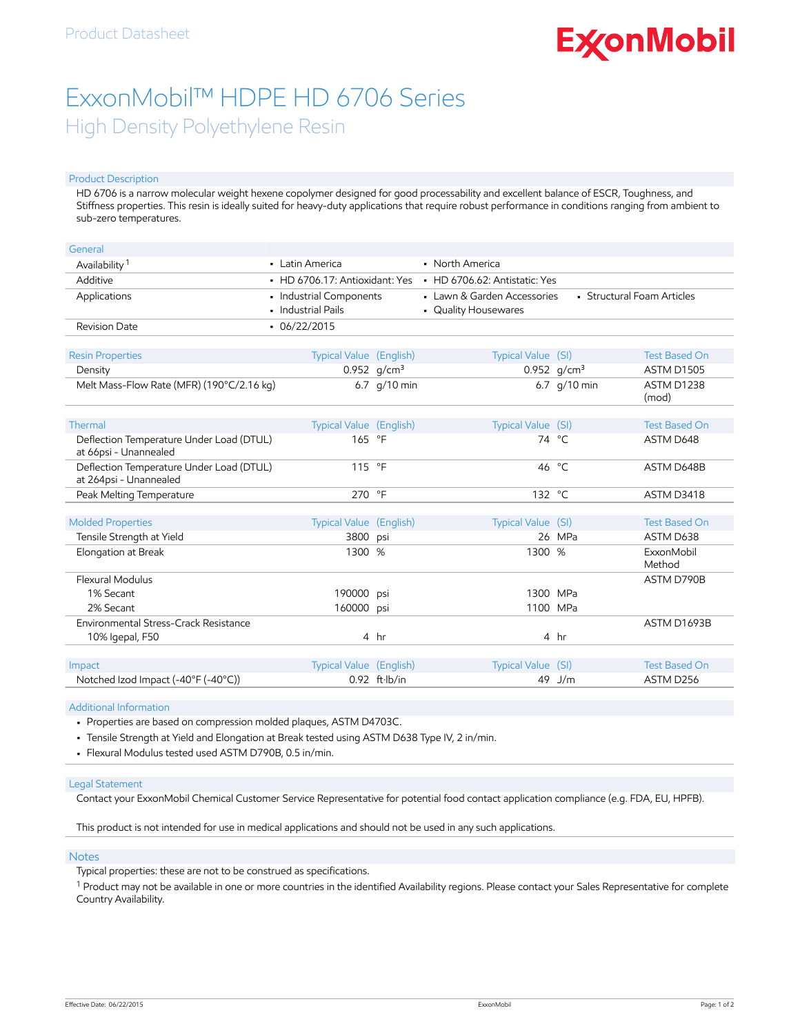# **ExconMobil**

## ExxonMobil™ HDPE HD 6706 Series High Density Polyethylene Resin

#### Product Description

HD 6706 is a narrow molecular weight hexene copolymer designed for good processability and excellent balance of ESCR, Toughness, and Stiffness properties. This resin is ideally suited for heavy-duty applications that require robust performance in conditions ranging from ambient to sub-zero temperatures.

| General                                                            |                                               |                                |                                                                                   |                                |                      |
|--------------------------------------------------------------------|-----------------------------------------------|--------------------------------|-----------------------------------------------------------------------------------|--------------------------------|----------------------|
| Availability <sup>1</sup>                                          | • Latin America                               |                                | • North America                                                                   |                                |                      |
| Additive                                                           | • HD 6706.17: Antioxidant: Yes                |                                | $-HD$ 6706.62: Antistatic: Yes                                                    |                                |                      |
| Applications                                                       | · Industrial Components<br>• Industrial Pails |                                | • Structural Foam Articles<br>• Lawn & Garden Accessories<br>• Quality Housewares |                                |                      |
| <b>Revision Date</b>                                               | $-06/22/2015$                                 |                                |                                                                                   |                                |                      |
| <b>Resin Properties</b>                                            | Typical Value (English)                       |                                | Typical Value (SI)                                                                |                                | <b>Test Based On</b> |
|                                                                    |                                               |                                |                                                                                   |                                | <b>ASTM D1505</b>    |
| Density<br>Melt Mass-Flow Rate (MFR) (190°C/2.16 kg)               |                                               | 0.952 $q/cm^3$<br>6.7 g/10 min |                                                                                   | 0.952 $q/cm^3$<br>6.7 g/10 min | ASTM D1238<br>(mod)  |
| Thermal                                                            | Typical Value (English)                       |                                | Typical Value (SI)                                                                |                                | <b>Test Based On</b> |
| Deflection Temperature Under Load (DTUL)<br>at 66psi - Unannealed  | 165 °F                                        |                                |                                                                                   | 74 °C                          | ASTM D648            |
| Deflection Temperature Under Load (DTUL)<br>at 264psi - Unannealed | 115 °F                                        |                                | 46                                                                                | °⊂                             | ASTM D648B           |
| Peak Melting Temperature                                           | 270 °F                                        |                                | 132 °C                                                                            |                                | ASTM D3418           |
| <b>Molded Properties</b>                                           | Typical Value (English)                       |                                | Typical Value (SI)                                                                |                                | <b>Test Based On</b> |
| Tensile Strength at Yield                                          | 3800                                          | psi                            |                                                                                   | 26 MPa                         | ASTM D638            |
| Elongation at Break                                                | 1300 %                                        |                                | 1300 %                                                                            |                                | ExxonMobil<br>Method |
| Flexural Modulus                                                   |                                               |                                |                                                                                   |                                | ASTM D790B           |
| 1% Secant                                                          | 190000                                        | psi                            | 1300 MPa                                                                          |                                |                      |
| 2% Secant                                                          | 160000                                        | psi                            | 1100 MPa                                                                          |                                |                      |
| Environmental Stress-Crack Resistance                              |                                               |                                |                                                                                   |                                | ASTM D1693B          |
| 10% Igepal, F50                                                    |                                               | 4 hr                           |                                                                                   | 4 hr                           |                      |
|                                                                    |                                               |                                |                                                                                   |                                |                      |
| Impact                                                             | <b>Typical Value (English)</b>                |                                | <b>Typical Value</b>                                                              | (SI)                           | <b>Test Based On</b> |
| Notched Izod Impact (-40°F (-40°C))                                |                                               | $0.92$ ft $\cdot$ lb/in        | 49                                                                                | J/m                            | ASTM D256            |

Additional Information

• Properties are based on compression molded plaques, ASTM D4703C.

• Tensile Strength at Yield and Elongation at Break tested using ASTM D638 Type IV, 2 in/min.

• Flexural Modulus tested used ASTM D790B, 0.5 in/min.

#### Legal Statement

Contact your ExxonMobil Chemical Customer Service Representative for potential food contact application compliance (e.g. FDA, EU, HPFB).

This product is not intended for use in medical applications and should not be used in any such applications.

#### Notes

Typical properties: these are not to be construed as specifications.

 $^1$  Product may not be available in one or more countries in the identified Availability regions. Please contact your Sales Representative for complete Country Availability.